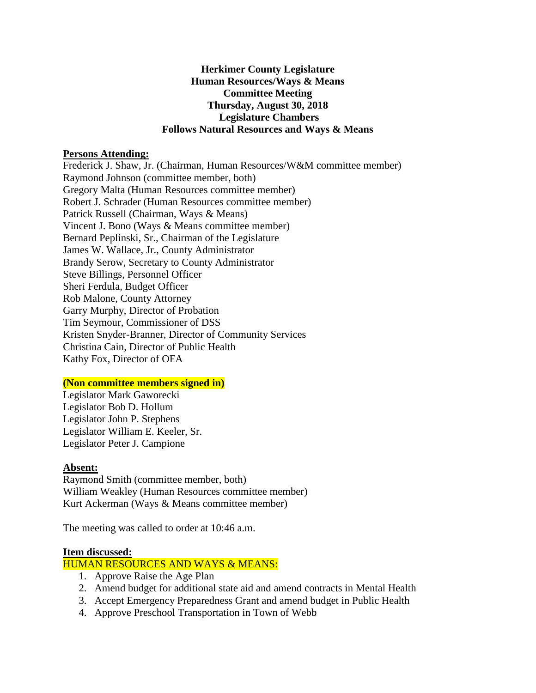## **Herkimer County Legislature Human Resources/Ways & Means Committee Meeting Thursday, August 30, 2018 Legislature Chambers Follows Natural Resources and Ways & Means**

#### **Persons Attending:**

Frederick J. Shaw, Jr. (Chairman, Human Resources/W&M committee member) Raymond Johnson (committee member, both) Gregory Malta (Human Resources committee member) Robert J. Schrader (Human Resources committee member) Patrick Russell (Chairman, Ways & Means) Vincent J. Bono (Ways & Means committee member) Bernard Peplinski, Sr., Chairman of the Legislature James W. Wallace, Jr., County Administrator Brandy Serow, Secretary to County Administrator Steve Billings, Personnel Officer Sheri Ferdula, Budget Officer Rob Malone, County Attorney Garry Murphy, Director of Probation Tim Seymour, Commissioner of DSS Kristen Snyder-Branner, Director of Community Services Christina Cain, Director of Public Health Kathy Fox, Director of OFA

#### **(Non committee members signed in)**

Legislator Mark Gaworecki Legislator Bob D. Hollum Legislator John P. Stephens Legislator William E. Keeler, Sr. Legislator Peter J. Campione

#### **Absent:**

Raymond Smith (committee member, both) William Weakley (Human Resources committee member) Kurt Ackerman (Ways & Means committee member)

The meeting was called to order at 10:46 a.m.

#### **Item discussed:**

HUMAN RESOURCES AND WAYS & MEANS:

- 1. Approve Raise the Age Plan
- 2. Amend budget for additional state aid and amend contracts in Mental Health
- 3. Accept Emergency Preparedness Grant and amend budget in Public Health
- 4. Approve Preschool Transportation in Town of Webb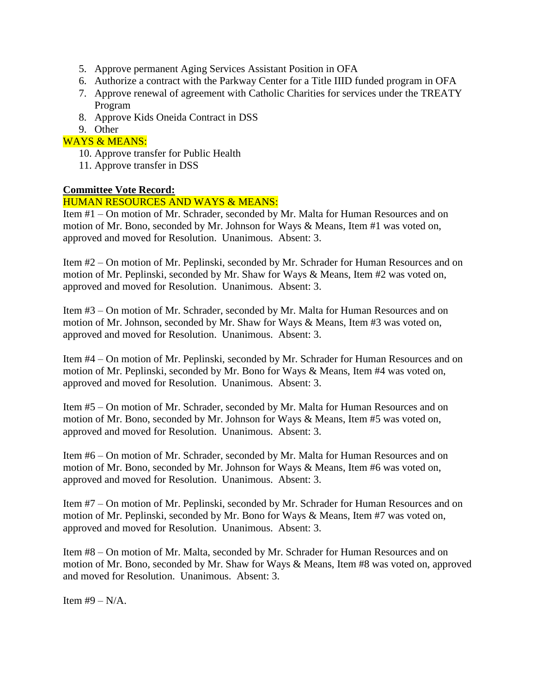- 5. Approve permanent Aging Services Assistant Position in OFA
- 6. Authorize a contract with the Parkway Center for a Title IIID funded program in OFA
- 7. Approve renewal of agreement with Catholic Charities for services under the TREATY Program
- 8. Approve Kids Oneida Contract in DSS
- 9. Other

# WAYS & MEANS:

- 10. Approve transfer for Public Health
- 11. Approve transfer in DSS

## **Committee Vote Record:**

## HUMAN RESOURCES AND WAYS & MEANS:

Item #1 – On motion of Mr. Schrader, seconded by Mr. Malta for Human Resources and on motion of Mr. Bono, seconded by Mr. Johnson for Ways & Means, Item #1 was voted on, approved and moved for Resolution. Unanimous. Absent: 3.

Item #2 – On motion of Mr. Peplinski, seconded by Mr. Schrader for Human Resources and on motion of Mr. Peplinski, seconded by Mr. Shaw for Ways & Means, Item #2 was voted on, approved and moved for Resolution. Unanimous. Absent: 3.

Item #3 – On motion of Mr. Schrader, seconded by Mr. Malta for Human Resources and on motion of Mr. Johnson, seconded by Mr. Shaw for Ways & Means, Item #3 was voted on, approved and moved for Resolution. Unanimous. Absent: 3.

Item #4 – On motion of Mr. Peplinski, seconded by Mr. Schrader for Human Resources and on motion of Mr. Peplinski, seconded by Mr. Bono for Ways & Means, Item #4 was voted on, approved and moved for Resolution. Unanimous. Absent: 3.

Item #5 – On motion of Mr. Schrader, seconded by Mr. Malta for Human Resources and on motion of Mr. Bono, seconded by Mr. Johnson for Ways & Means, Item #5 was voted on, approved and moved for Resolution. Unanimous. Absent: 3.

Item #6 – On motion of Mr. Schrader, seconded by Mr. Malta for Human Resources and on motion of Mr. Bono, seconded by Mr. Johnson for Ways & Means, Item #6 was voted on, approved and moved for Resolution. Unanimous. Absent: 3.

Item #7 – On motion of Mr. Peplinski, seconded by Mr. Schrader for Human Resources and on motion of Mr. Peplinski, seconded by Mr. Bono for Ways & Means, Item #7 was voted on, approved and moved for Resolution. Unanimous. Absent: 3.

Item #8 – On motion of Mr. Malta, seconded by Mr. Schrader for Human Resources and on motion of Mr. Bono, seconded by Mr. Shaw for Ways & Means, Item #8 was voted on, approved and moved for Resolution. Unanimous. Absent: 3.

Item  $#9 - N/A$ .